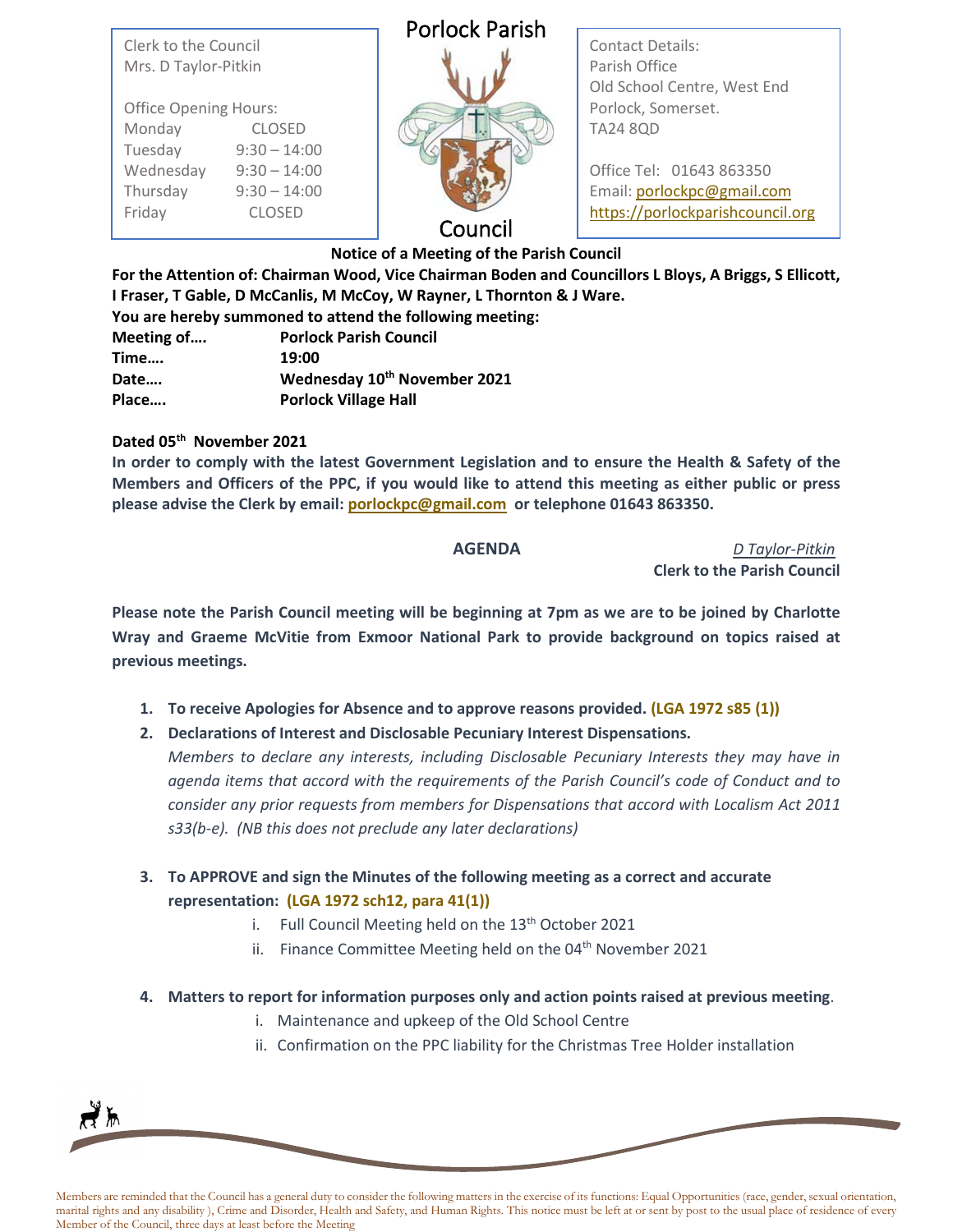Clerk to the Council Mrs. D Taylor-Pitkin

| <b>Office Opening Hours:</b> |                |
|------------------------------|----------------|
| Monday                       | <b>CLOSED</b>  |
| Tuesday                      | $9:30 - 14:00$ |
| Wednesday                    | $9:30 - 14:00$ |
| Thursday                     | $9:30 - 14:00$ |
| Friday                       | <b>CLOSED</b>  |

## Porlock Parish



Contact Details: Parish Office Old School Centre, West End Porlock, Somerset. TA24 8QD

Office Tel: 01643 863350 Email: [porlockpc@gmail.com](mailto:porlockpc@gmail.com) [https://porlockparishcouncil.org](https://porlockparishcouncil.org/)

## Council

**Notice of a Meeting of the Parish Council**

**For the Attention of: Chairman Wood, Vice Chairman Boden and Councillors L Bloys, A Briggs, S Ellicott, I Fraser, T Gable, D McCanlis, M McCoy, W Rayner, L Thornton & J Ware.** 

|            | You are hereby summoned to attend the following meeting: |
|------------|----------------------------------------------------------|
| Meeting of | <b>Porlock Parish Council</b>                            |
| Time       | 19:00                                                    |
| Date       | Wednesday 10th November 2021                             |
| Place      | <b>Porlock Village Hall</b>                              |

## **Dated 05th November 2021**

**In order to comply with the latest Government Legislation and to ensure the Health & Safety of the Members and Officers of the PPC, if you would like to attend this meeting as either public or press please advise the Clerk by email[: porlockpc@gmail.com](mailto:porlockpc@gmail.com) or telephone 01643 863350.**

**AGENDA** *D Taylor-Pitkin* **Clerk to the Parish Council**

**Please note the Parish Council meeting will be beginning at 7pm as we are to be joined by Charlotte Wray and Graeme McVitie from Exmoor National Park to provide background on topics raised at previous meetings.**

- **1. To receive Apologies for Absence and to approve reasons provided. (LGA 1972 s85 (1))**
- **2. Declarations of Interest and Disclosable Pecuniary Interest Dispensations.**

*Members to declare any interests, including Disclosable Pecuniary Interests they may have in agenda items that accord with the requirements of the Parish Council's code of Conduct and to consider any prior requests from members for Dispensations that accord with Localism Act 2011 s33(b-e). (NB this does not preclude any later declarations)*

- **3. To APPROVE and sign the Minutes of the following meeting as a correct and accurate representation: (LGA 1972 sch12, para 41(1))**
	- i. Full Council Meeting held on the  $13<sup>th</sup>$  October 2021
	- ii. Finance Committee Meeting held on the 04<sup>th</sup> November 2021
- **4. Matters to report for information purposes only and action points raised at previous meeting**.
	- i. Maintenance and upkeep of the Old School Centre
	- ii. Confirmation on the PPC liability for the Christmas Tree Holder installation



Members are reminded that the Council has a general duty to consider the following matters in the exercise of its functions: Equal Opportunities (race, gender, sexual orientation, marital rights and any disability ), Crime and Disorder, Health and Safety, and Human Rights. This notice must be left at or sent by post to the usual place of residence of every Member of the Council, three days at least before the Meeting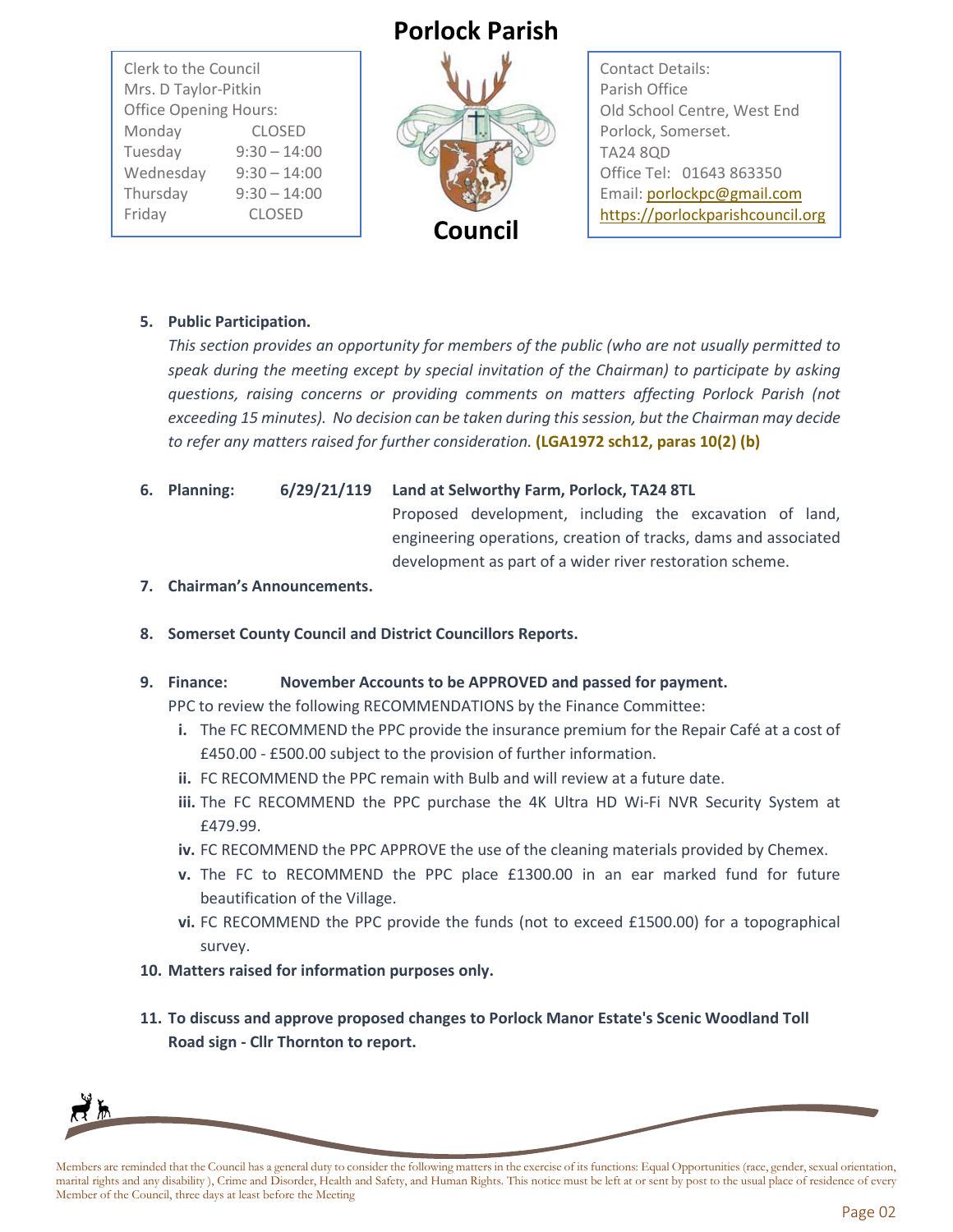Clerk to the Council Mrs. D Taylor-Pitkin Office Opening Hours: Monday CLOSED Tuesday 9:30 – 14:00 Wednesday 9:30 – 14:00 Thursday 9:30 – 14:00 Friday CLOSED

# **Porlock Parish**



Contact Details: Parish Office Old School Centre, West End Porlock, Somerset. TA24 8QD Office Tel: 01643 863350 Email[: porlockpc@gmail.com](mailto:porlockpc@gmail.com) [https://porlockparishcouncil.org](https://porlockparishcouncil.org/)

### **5. Public Participation.**

*This section provides an opportunity for members of the public (who are not usually permitted to speak during the meeting except by special invitation of the Chairman) to participate by asking questions, raising concerns or providing comments on matters affecting Porlock Parish (not exceeding 15 minutes). No decision can be taken during this session, but the Chairman may decide to refer any matters raised for further consideration.* **(LGA1972 sch12, paras 10(2) (b)**

**6. Planning: 6/29/21/119 Land at Selworthy Farm, Porlock, TA24 8TL**

Proposed development, including the excavation of land, engineering operations, creation of tracks, dams and associated development as part of a wider river restoration scheme.

- **7. Chairman's Announcements.**
- **8. Somerset County Council and District Councillors Reports.**

#### **9. Finance: November Accounts to be APPROVED and passed for payment.**

PPC to review the following RECOMMENDATIONS by the Finance Committee:

- **i.** The FC RECOMMEND the PPC provide the insurance premium for the Repair Café at a cost of £450.00 - £500.00 subject to the provision of further information.
- **ii.** FC RECOMMEND the PPC remain with Bulb and will review at a future date.
- **iii.** The FC RECOMMEND the PPC purchase the 4K Ultra HD Wi-Fi NVR Security System at £479.99.
- **iv.** FC RECOMMEND the PPC APPROVE the use of the cleaning materials provided by Chemex.
- **v.** The FC to RECOMMEND the PPC place £1300.00 in an ear marked fund for future beautification of the Village.
- **vi.** FC RECOMMEND the PPC provide the funds (not to exceed £1500.00) for a topographical survey.
- **10. Matters raised for information purposes only.**
- **11. To discuss and approve proposed changes to Porlock Manor Estate's Scenic Woodland Toll Road sign - Cllr Thornton to report.**



Members are reminded that the Council has a general duty to consider the following matters in the exercise of its functions: Equal Opportunities (race, gender, sexual orientation, marital rights and any disability ), Crime and Disorder, Health and Safety, and Human Rights. This notice must be left at or sent by post to the usual place of residence of every Member of the Council, three days at least before the Meeting